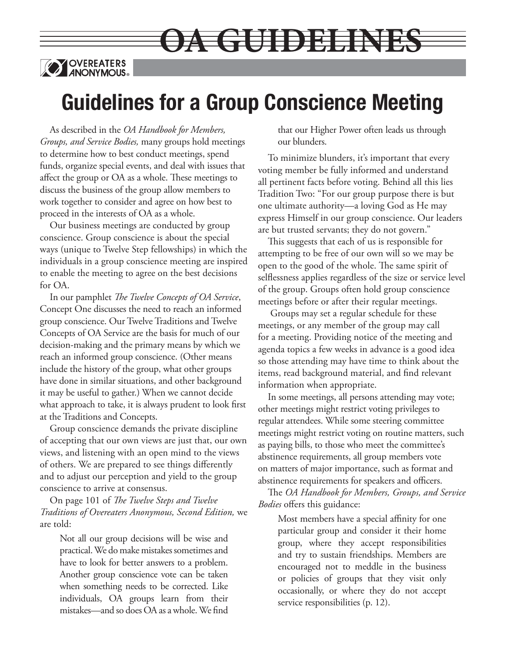

# **Guidelines for a Group Conscience Meeting**

**OA GUIDELINES**

As described in the *OA Handbook for Members, Groups, and Service Bodies,* many groups hold meetings to determine how to best conduct meetings, spend funds, organize special events, and deal with issues that affect the group or OA as a whole. These meetings to discuss the business of the group allow members to work together to consider and agree on how best to proceed in the interests of OA as a whole.

Our business meetings are conducted by group conscience. Group conscience is about the special ways (unique to Twelve Step fellowships) in which the individuals in a group conscience meeting are inspired to enable the meeting to agree on the best decisions for OA.

In our pamphlet *The Twelve Concepts of OA Service*, Concept One discusses the need to reach an informed group conscience. Our Twelve Traditions and Twelve Concepts of OA Service are the basis for much of our decision-making and the primary means by which we reach an informed group conscience. (Other means include the history of the group, what other groups have done in similar situations, and other background it may be useful to gather.) When we cannot decide what approach to take, it is always prudent to look first at the Traditions and Concepts.

Group conscience demands the private discipline of accepting that our own views are just that, our own views, and listening with an open mind to the views of others. We are prepared to see things differently and to adjust our perception and yield to the group conscience to arrive at consensus.

On page 101 of *The Twelve Steps and Twelve Traditions of Overeaters Anonymous, Second Edition,* we are told:

Not all our group decisions will be wise and practical. We do make mistakes sometimes and have to look for better answers to a problem. Another group conscience vote can be taken when something needs to be corrected. Like individuals, OA groups learn from their mistakes—and so does OA as a whole. We find

that our Higher Power often leads us through our blunders.

To minimize blunders, it's important that every voting member be fully informed and understand all pertinent facts before voting. Behind all this lies Tradition Two: "For our group purpose there is but one ultimate authority—a loving God as He may express Himself in our group conscience. Our leaders are but trusted servants; they do not govern."

This suggests that each of us is responsible for attempting to be free of our own will so we may be open to the good of the whole. The same spirit of selflessness applies regardless of the size or service level of the group. Groups often hold group conscience meetings before or after their regular meetings.

 Groups may set a regular schedule for these meetings, or any member of the group may call for a meeting. Providing notice of the meeting and agenda topics a few weeks in advance is a good idea so those attending may have time to think about the items, read background material, and find relevant information when appropriate.

In some meetings, all persons attending may vote; other meetings might restrict voting privileges to regular attendees. While some steering committee meetings might restrict voting on routine matters, such as paying bills, to those who meet the committee's abstinence requirements, all group members vote on matters of major importance, such as format and abstinence requirements for speakers and officers.

The *OA Handbook for Members, Groups, and Service Bodies* offers this guidance:

Most members have a special affinity for one particular group and consider it their home group, where they accept responsibilities and try to sustain friendships. Members are encouraged not to meddle in the business or policies of groups that they visit only occasionally, or where they do not accept service responsibilities (p. 12).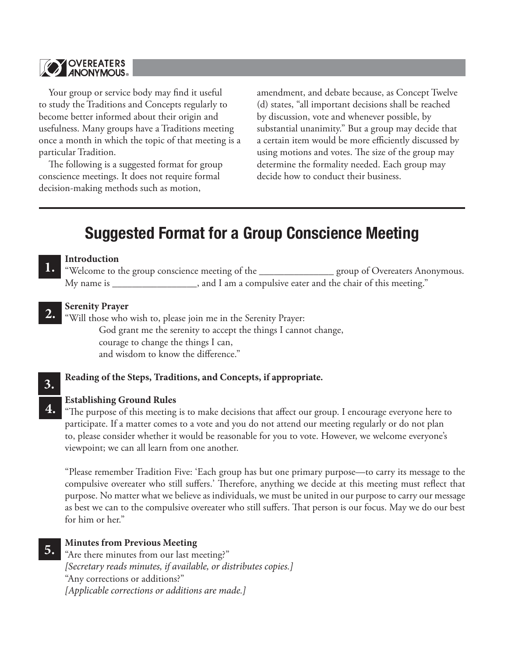

Your group or service body may find it useful to study the Traditions and Concepts regularly to become better informed about their origin and usefulness. Many groups have a Traditions meeting once a month in which the topic of that meeting is a particular Tradition.

The following is a suggested format for group conscience meetings. It does not require formal decision-making methods such as motion,

amendment, and debate because, as Concept Twelve (d) states, "all important decisions shall be reached by discussion, vote and whenever possible, by substantial unanimity." But a group may decide that a certain item would be more efficiently discussed by using motions and votes. The size of the group may determine the formality needed. Each group may decide how to conduct their business.

# **Suggested Format for a Group Conscience Meeting**

#### **Introduction**

"Welcome to the group conscience meeting of the \_\_\_\_\_\_\_\_\_\_\_\_\_\_\_ group of Overeaters Anonymous. My name is \_\_\_\_\_\_\_\_\_\_\_\_\_\_\_\_\_, and I am a compulsive eater and the chair of this meeting."

#### **Serenity Prayer 2.**

"Will those who wish to, please join me in the Serenity Prayer: God grant me the serenity to accept the things I cannot change, courage to change the things I can,

and wisdom to know the difference."

#### **Reading of the Steps, Traditions, and Concepts, if appropriate.**

# **3.**

**4.**

**1.**

#### **Establishing Ground Rules**

"The purpose of this meeting is to make decisions that affect our group. I encourage everyone here to participate. If a matter comes to a vote and you do not attend our meeting regularly or do not plan to, please consider whether it would be reasonable for you to vote. However, we welcome everyone's viewpoint; we can all learn from one another.

"Please remember Tradition Five: 'Each group has but one primary purpose—to carry its message to the compulsive overeater who still suffers.' Therefore, anything we decide at this meeting must reflect that purpose. No matter what we believe as individuals, we must be united in our purpose to carry our message as best we can to the compulsive overeater who still suffers. That person is our focus. May we do our best for him or her."

#### **Minutes from Previous Meeting 5.**

"Are there minutes from our last meeting?" *[Secretary reads minutes, if available, or distributes copies.]* "Any corrections or additions?" *[Applicable corrections or additions are made.]*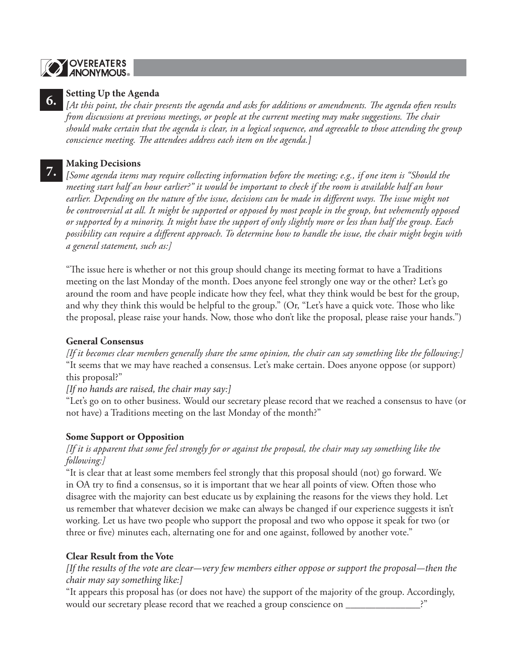# **OVEREATERS**



### **Setting Up the Agenda**

*[At this point, the chair presents the agenda and asks for additions or amendments. The agenda often results from discussions at previous meetings, or people at the current meeting may make suggestions. The chair should make certain that the agenda is clear, in a logical sequence, and agreeable to those attending the group conscience meeting. The attendees address each item on the agenda.]*

### **Making Decisions**

*[Some agenda items may require collecting information before the meeting; e.g., if one item is "Should the*  **7.***meeting start half an hour earlier?" it would be important to check if the room is available half an hour earlier. Depending on the nature of the issue, decisions can be made in different ways. The issue might not be controversial at all. It might be supported or opposed by most people in the group, but vehemently opposed or supported by a minority. It might have the support of only slightly more or less than half the group. Each possibility can require a different approach. To determine how to handle the issue, the chair might begin with a general statement, such as:]*

"The issue here is whether or not this group should change its meeting format to have a Traditions meeting on the last Monday of the month. Does anyone feel strongly one way or the other? Let's go around the room and have people indicate how they feel, what they think would be best for the group, and why they think this would be helpful to the group." (Or, "Let's have a quick vote. Those who like the proposal, please raise your hands. Now, those who don't like the proposal, please raise your hands.")

### **General Consensus**

*[If it becomes clear members generally share the same opinion, the chair can say something like the following:]* "It seems that we may have reached a consensus. Let's make certain. Does anyone oppose (or support) this proposal?"

*[If no hands are raised, the chair may say:]*

"Let's go on to other business. Would our secretary please record that we reached a consensus to have (or not have) a Traditions meeting on the last Monday of the month?"

# **Some Support or Opposition**

# *[If it is apparent that some feel strongly for or against the proposal, the chair may say something like the following:]*

"It is clear that at least some members feel strongly that this proposal should (not) go forward. We in OA try to find a consensus, so it is important that we hear all points of view. Often those who disagree with the majority can best educate us by explaining the reasons for the views they hold. Let us remember that whatever decision we make can always be changed if our experience suggests it isn't working. Let us have two people who support the proposal and two who oppose it speak for two (or three or five) minutes each, alternating one for and one against, followed by another vote."

# **Clear Result from the Vote**

*[If the results of the vote are clear—very few members either oppose or support the proposal—then the chair may say something like:]*

"It appears this proposal has (or does not have) the support of the majority of the group. Accordingly, would our secretary please record that we reached a group conscience on  $\equiv$